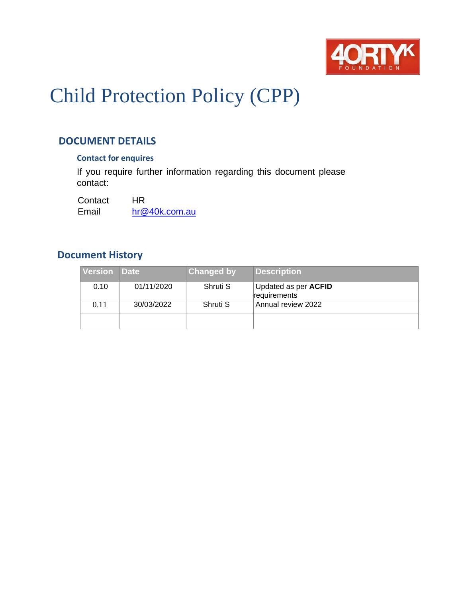

# Child Protection Policy (CPP)

# **DOCUMENT DETAILS**

# **Contact for enquires**

If you require further information regarding this document please contact:

Contact HR Email [hr@40k.com.au](mailto:hr@40k.com.au)

# **Document History**

| <b>Version</b> | <b>Date</b> | Changed by | <b>Description</b>                          |
|----------------|-------------|------------|---------------------------------------------|
| 0.10           | 01/11/2020  | Shruti S   | Updated as per <b>ACFID</b><br>requirements |
| 0.11           | 30/03/2022  | Shruti S   | Annual review 2022                          |
|                |             |            |                                             |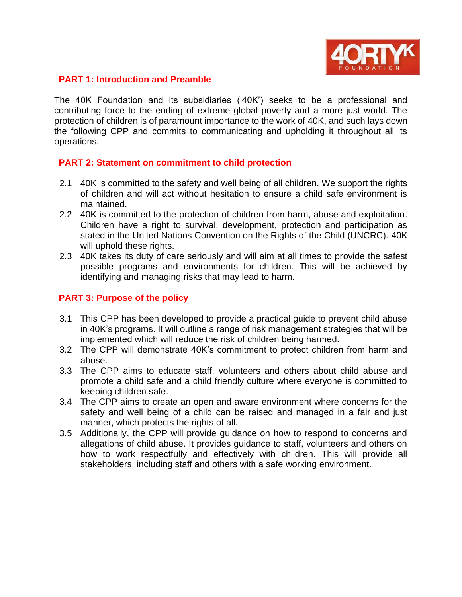

#### **PART 1: Introduction and Preamble**

The 40K Foundation and its subsidiaries ('40K') seeks to be a professional and contributing force to the ending of extreme global poverty and a more just world. The protection of children is of paramount importance to the work of 40K, and such lays down the following CPP and commits to communicating and upholding it throughout all its operations.

#### **PART 2: Statement on commitment to child protection**

- 2.1 40K is committed to the safety and well being of all children. We support the rights of children and will act without hesitation to ensure a child safe environment is maintained.
- 2.2 40K is committed to the protection of children from harm, abuse and exploitation. Children have a right to survival, development, protection and participation as stated in the United Nations Convention on the Rights of the Child (UNCRC). 40K will uphold these rights.
- 2.3 40K takes its duty of care seriously and will aim at all times to provide the safest possible programs and environments for children. This will be achieved by identifying and managing risks that may lead to harm.

# **PART 3: Purpose of the policy**

- 3.1 This CPP has been developed to provide a practical guide to prevent child abuse in 40K's programs. It will outline a range of risk management strategies that will be implemented which will reduce the risk of children being harmed.
- 3.2 The CPP will demonstrate 40K's commitment to protect children from harm and abuse.
- 3.3 The CPP aims to educate staff, volunteers and others about child abuse and promote a child safe and a child friendly culture where everyone is committed to keeping children safe.
- 3.4 The CPP aims to create an open and aware environment where concerns for the safety and well being of a child can be raised and managed in a fair and just manner, which protects the rights of all.
- 3.5 Additionally, the CPP will provide guidance on how to respond to concerns and allegations of child abuse. It provides guidance to staff, volunteers and others on how to work respectfully and effectively with children. This will provide all stakeholders, including staff and others with a safe working environment.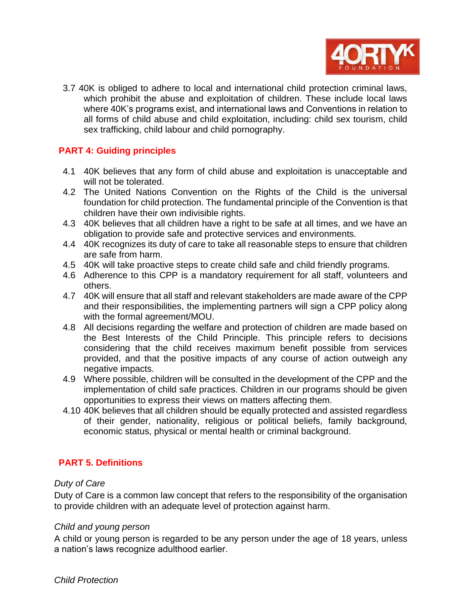

3.7 40K is obliged to adhere to local and international child protection criminal laws, which prohibit the abuse and exploitation of children. These include local laws where 40K's programs exist, and international laws and Conventions in relation to all forms of child abuse and child exploitation, including: child sex tourism, child sex trafficking, child labour and child pornography.

# **PART 4: Guiding principles**

- 4.1 40K believes that any form of child abuse and exploitation is unacceptable and will not be tolerated.
- 4.2 The United Nations Convention on the Rights of the Child is the universal foundation for child protection. The fundamental principle of the Convention is that children have their own indivisible rights.
- 4.3 40K believes that all children have a right to be safe at all times, and we have an obligation to provide safe and protective services and environments.
- 4.4 40K recognizes its duty of care to take all reasonable steps to ensure that children are safe from harm.
- 4.5 40K will take proactive steps to create child safe and child friendly programs.
- 4.6 Adherence to this CPP is a mandatory requirement for all staff, volunteers and others.
- 4.7 40K will ensure that all staff and relevant stakeholders are made aware of the CPP and their responsibilities, the implementing partners will sign a CPP policy along with the formal agreement/MOU.
- 4.8 All decisions regarding the welfare and protection of children are made based on the Best Interests of the Child Principle. This principle refers to decisions considering that the child receives maximum benefit possible from services provided, and that the positive impacts of any course of action outweigh any negative impacts.
- 4.9 Where possible, children will be consulted in the development of the CPP and the implementation of child safe practices. Children in our programs should be given opportunities to express their views on matters affecting them.
- 4.10 40K believes that all children should be equally protected and assisted regardless of their gender, nationality, religious or political beliefs, family background, economic status, physical or mental health or criminal background.

# **PART 5. Definitions**

# *Duty of Care*

Duty of Care is a common law concept that refers to the responsibility of the organisation to provide children with an adequate level of protection against harm.

# *Child and young person*

A child or young person is regarded to be any person under the age of 18 years, unless a nation's laws recognize adulthood earlier.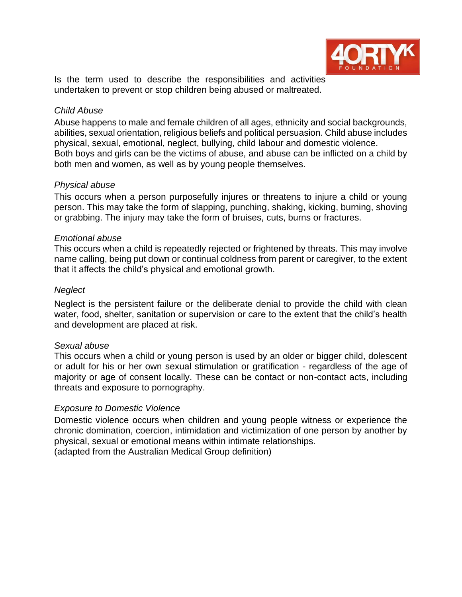

Is the term used to describe the responsibilities and activities undertaken to prevent or stop children being abused or maltreated.

# *Child Abuse*

Abuse happens to male and female children of all ages, ethnicity and social backgrounds, abilities, sexual orientation, religious beliefs and political persuasion. Child abuse includes physical, sexual, emotional, neglect, bullying, child labour and domestic violence. Both boys and girls can be the victims of abuse, and abuse can be inflicted on a child by both men and women, as well as by young people themselves.

# *Physical abuse*

This occurs when a person purposefully injures or threatens to injure a child or young person. This may take the form of slapping, punching, shaking, kicking, burning, shoving or grabbing. The injury may take the form of bruises, cuts, burns or fractures.

# *Emotional abuse*

This occurs when a child is repeatedly rejected or frightened by threats. This may involve name calling, being put down or continual coldness from parent or caregiver, to the extent that it affects the child's physical and emotional growth.

# *Neglect*

Neglect is the persistent failure or the deliberate denial to provide the child with clean water, food, shelter, sanitation or supervision or care to the extent that the child's health and development are placed at risk.

# *Sexual abuse*

This occurs when a child or young person is used by an older or bigger child, dolescent or adult for his or her own sexual stimulation or gratification - regardless of the age of majority or age of consent locally. These can be contact or non-contact acts, including threats and exposure to pornography.

# *Exposure to Domestic Violence*

Domestic violence occurs when children and young people witness or experience the chronic domination, coercion, intimidation and victimization of one person by another by physical, sexual or emotional means within intimate relationships.

(adapted from the Australian Medical Group definition)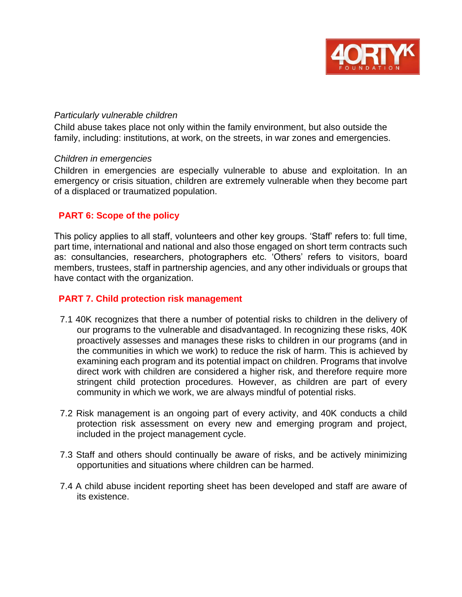

#### *Particularly vulnerable children*

Child abuse takes place not only within the family environment, but also outside the family, including: institutions, at work, on the streets, in war zones and emergencies.

#### *Children in emergencies*

Children in emergencies are especially vulnerable to abuse and exploitation. In an emergency or crisis situation, children are extremely vulnerable when they become part of a displaced or traumatized population.

# **PART 6: Scope of the policy**

This policy applies to all staff, volunteers and other key groups. 'Staff' refers to: full time, part time, international and national and also those engaged on short term contracts such as: consultancies, researchers, photographers etc. 'Others' refers to visitors, board members, trustees, staff in partnership agencies, and any other individuals or groups that have contact with the organization.

# **PART 7. Child protection risk management**

- 7.1 40K recognizes that there a number of potential risks to children in the delivery of our programs to the vulnerable and disadvantaged. In recognizing these risks, 40K proactively assesses and manages these risks to children in our programs (and in the communities in which we work) to reduce the risk of harm. This is achieved by examining each program and its potential impact on children. Programs that involve direct work with children are considered a higher risk, and therefore require more stringent child protection procedures. However, as children are part of every community in which we work, we are always mindful of potential risks.
- 7.2 Risk management is an ongoing part of every activity, and 40K conducts a child protection risk assessment on every new and emerging program and project, included in the project management cycle.
- 7.3 Staff and others should continually be aware of risks, and be actively minimizing opportunities and situations where children can be harmed.
- 7.4 A child abuse incident reporting sheet has been developed and staff are aware of its existence.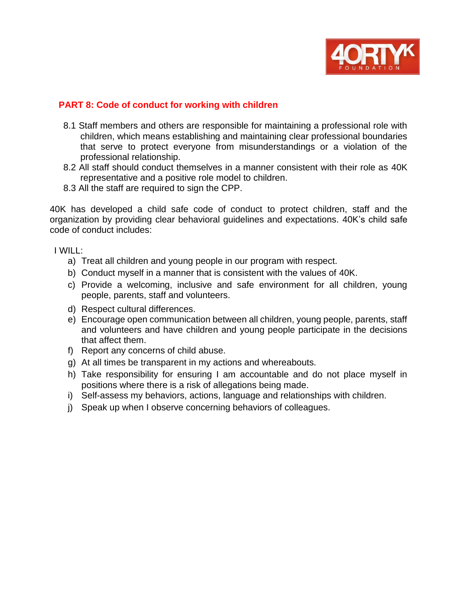

# **PART 8: Code of conduct for working with children**

- 8.1 Staff members and others are responsible for maintaining a professional role with children, which means establishing and maintaining clear professional boundaries that serve to protect everyone from misunderstandings or a violation of the professional relationship.
- 8.2 All staff should conduct themselves in a manner consistent with their role as 40K representative and a positive role model to children.
- 8.3 All the staff are required to sign the CPP.

40K has developed a child safe code of conduct to protect children, staff and the organization by providing clear behavioral guidelines and expectations. 40K's child safe code of conduct includes:

I WILL:

- a) Treat all children and young people in our program with respect.
- b) Conduct myself in a manner that is consistent with the values of 40K.
- c) Provide a welcoming, inclusive and safe environment for all children, young people, parents, staff and volunteers.
- d) Respect cultural differences.
- e) Encourage open communication between all children, young people, parents, staff and volunteers and have children and young people participate in the decisions that affect them.
- f) Report any concerns of child abuse.
- g) At all times be transparent in my actions and whereabouts.
- h) Take responsibility for ensuring I am accountable and do not place myself in positions where there is a risk of allegations being made.
- i) Self-assess my behaviors, actions, language and relationships with children.
- j) Speak up when I observe concerning behaviors of colleagues.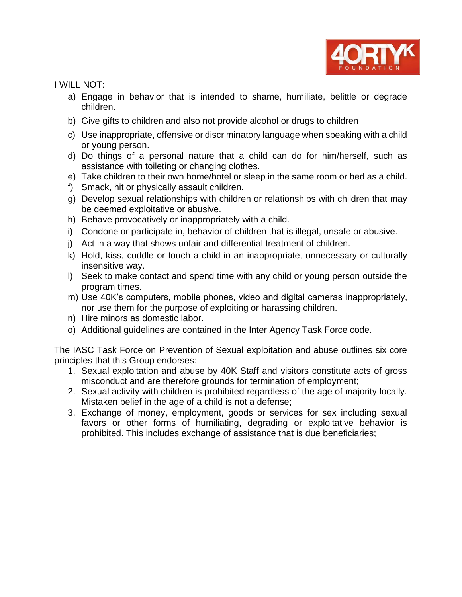

I WILL NOT:

- a) Engage in behavior that is intended to shame, humiliate, belittle or degrade children.
- b) Give gifts to children and also not provide alcohol or drugs to children
- c) Use inappropriate, offensive or discriminatory language when speaking with a child or young person.
- d) Do things of a personal nature that a child can do for him/herself, such as assistance with toileting or changing clothes.
- e) Take children to their own home/hotel or sleep in the same room or bed as a child.
- f) Smack, hit or physically assault children.
- g) Develop sexual relationships with children or relationships with children that may be deemed exploitative or abusive.
- h) Behave provocatively or inappropriately with a child.
- i) Condone or participate in, behavior of children that is illegal, unsafe or abusive.
- j) Act in a way that shows unfair and differential treatment of children.
- k) Hold, kiss, cuddle or touch a child in an inappropriate, unnecessary or culturally insensitive way.
- l) Seek to make contact and spend time with any child or young person outside the program times.
- m) Use 40K's computers, mobile phones, video and digital cameras inappropriately, nor use them for the purpose of exploiting or harassing children.
- n) Hire minors as domestic labor.
- o) Additional guidelines are contained in the Inter Agency Task Force code.

The IASC Task Force on Prevention of Sexual exploitation and abuse outlines six core principles that this Group endorses:

- 1. Sexual exploitation and abuse by 40K Staff and visitors constitute acts of gross misconduct and are therefore grounds for termination of employment;
- 2. Sexual activity with children is prohibited regardless of the age of majority locally. Mistaken belief in the age of a child is not a defense;
- 3. Exchange of money, employment, goods or services for sex including sexual favors or other forms of humiliating, degrading or exploitative behavior is prohibited. This includes exchange of assistance that is due beneficiaries;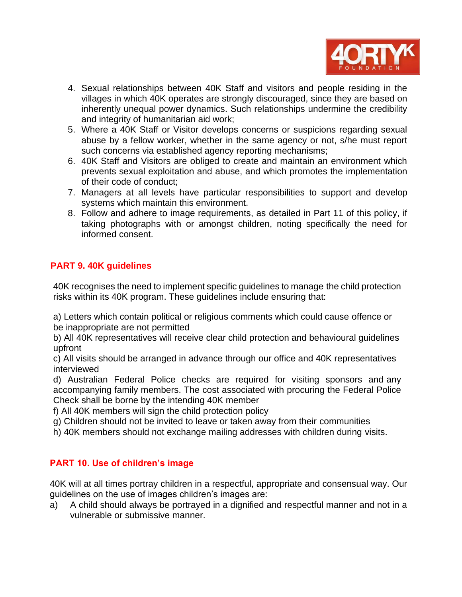

- 4. Sexual relationships between 40K Staff and visitors and people residing in the villages in which 40K operates are strongly discouraged, since they are based on inherently unequal power dynamics. Such relationships undermine the credibility and integrity of humanitarian aid work;
- 5. Where a 40K Staff or Visitor develops concerns or suspicions regarding sexual abuse by a fellow worker, whether in the same agency or not, s/he must report such concerns via established agency reporting mechanisms;
- 6. 40K Staff and Visitors are obliged to create and maintain an environment which prevents sexual exploitation and abuse, and which promotes the implementation of their code of conduct;
- 7. Managers at all levels have particular responsibilities to support and develop systems which maintain this environment.
- 8. Follow and adhere to image requirements, as detailed in Part 11 of this policy, if taking photographs with or amongst children, noting specifically the need for informed consent.

# **PART 9. 40K guidelines**

40K recognises the need to implement specific guidelines to manage the child protection risks within its 40K program. These guidelines include ensuring that:

a) Letters which contain political or religious comments which could cause offence or be inappropriate are not permitted

b) All 40K representatives will receive clear child protection and behavioural guidelines upfront

c) All visits should be arranged in advance through our office and 40K representatives interviewed

d) Australian Federal Police checks are required for visiting sponsors and any accompanying family members. The cost associated with procuring the Federal Police Check shall be borne by the intending 40K member

f) All 40K members will sign the child protection policy

g) Children should not be invited to leave or taken away from their communities

h) 40K members should not exchange mailing addresses with children during visits.

# **PART 10. Use of children's image**

40K will at all times portray children in a respectful, appropriate and consensual way. Our guidelines on the use of images children's images are:

a) A child should always be portrayed in a dignified and respectful manner and not in a vulnerable or submissive manner.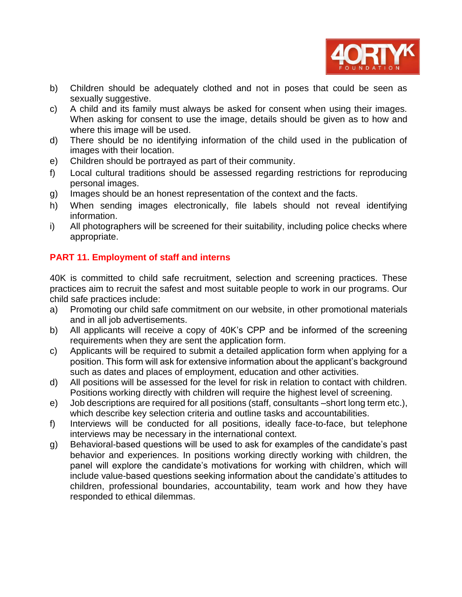

- b) Children should be adequately clothed and not in poses that could be seen as sexually suggestive.
- c) A child and its family must always be asked for consent when using their images. When asking for consent to use the image, details should be given as to how and where this image will be used.
- d) There should be no identifying information of the child used in the publication of images with their location.
- e) Children should be portrayed as part of their community.
- f) Local cultural traditions should be assessed regarding restrictions for reproducing personal images.
- g) Images should be an honest representation of the context and the facts.
- h) When sending images electronically, file labels should not reveal identifying information.
- i) All photographers will be screened for their suitability, including police checks where appropriate.

# **PART 11. Employment of staff and interns**

40K is committed to child safe recruitment, selection and screening practices. These practices aim to recruit the safest and most suitable people to work in our programs. Our child safe practices include:

- a) Promoting our child safe commitment on our website, in other promotional materials and in all job advertisements.
- b) All applicants will receive a copy of 40K's CPP and be informed of the screening requirements when they are sent the application form.
- c) Applicants will be required to submit a detailed application form when applying for a position. This form will ask for extensive information about the applicant's background such as dates and places of employment, education and other activities.
- d) All positions will be assessed for the level for risk in relation to contact with children. Positions working directly with children will require the highest level of screening.
- e) Job descriptions are required for all positions (staff, consultants –short long term etc.), which describe key selection criteria and outline tasks and accountabilities.
- f) Interviews will be conducted for all positions, ideally face-to-face, but telephone interviews may be necessary in the international context.
- g) Behavioral-based questions will be used to ask for examples of the candidate's past behavior and experiences. In positions working directly working with children, the panel will explore the candidate's motivations for working with children, which will include value-based questions seeking information about the candidate's attitudes to children, professional boundaries, accountability, team work and how they have responded to ethical dilemmas.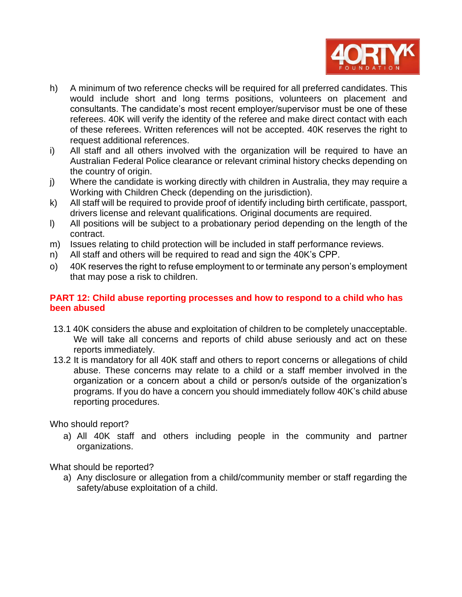

- h) A minimum of two reference checks will be required for all preferred candidates. This would include short and long terms positions, volunteers on placement and consultants. The candidate's most recent employer/supervisor must be one of these referees. 40K will verify the identity of the referee and make direct contact with each of these referees. Written references will not be accepted. 40K reserves the right to request additional references.
- i) All staff and all others involved with the organization will be required to have an Australian Federal Police clearance or relevant criminal history checks depending on the country of origin.
- j) Where the candidate is working directly with children in Australia, they may require a Working with Children Check (depending on the jurisdiction).
- k) All staff will be required to provide proof of identify including birth certificate, passport, drivers license and relevant qualifications. Original documents are required.
- l) All positions will be subject to a probationary period depending on the length of the contract.
- m) Issues relating to child protection will be included in staff performance reviews.
- n) All staff and others will be required to read and sign the 40K's CPP.
- o) 40K reserves the right to refuse employment to or terminate any person's employment that may pose a risk to children.

# **PART 12: Child abuse reporting processes and how to respond to a child who has been abused**

- 13.1 40K considers the abuse and exploitation of children to be completely unacceptable. We will take all concerns and reports of child abuse seriously and act on these reports immediately.
- 13.2 It is mandatory for all 40K staff and others to report concerns or allegations of child abuse. These concerns may relate to a child or a staff member involved in the organization or a concern about a child or person/s outside of the organization's programs. If you do have a concern you should immediately follow 40K's child abuse reporting procedures.

Who should report?

a) All 40K staff and others including people in the community and partner organizations.

What should be reported?

a) Any disclosure or allegation from a child/community member or staff regarding the safety/abuse exploitation of a child.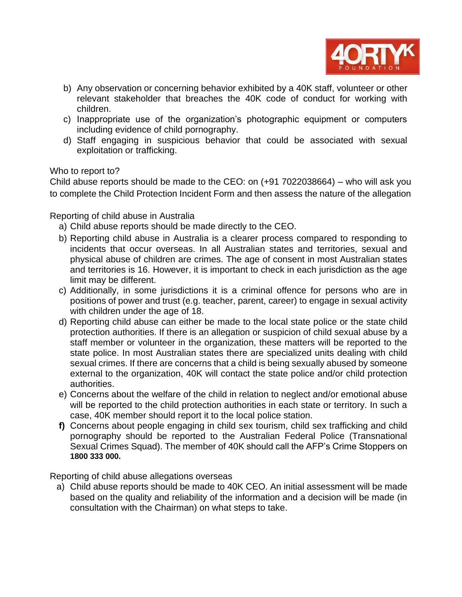

- b) Any observation or concerning behavior exhibited by a 40K staff, volunteer or other relevant stakeholder that breaches the 40K code of conduct for working with children.
- c) Inappropriate use of the organization's photographic equipment or computers including evidence of child pornography.
- d) Staff engaging in suspicious behavior that could be associated with sexual exploitation or trafficking.

# Who to report to?

Child abuse reports should be made to the CEO: on (+91 7022038664) – who will ask you to complete the Child Protection Incident Form and then assess the nature of the allegation

# Reporting of child abuse in Australia

- a) Child abuse reports should be made directly to the CEO.
- b) Reporting child abuse in Australia is a clearer process compared to responding to incidents that occur overseas. In all Australian states and territories, sexual and physical abuse of children are crimes. The age of consent in most Australian states and territories is 16. However, it is important to check in each jurisdiction as the age limit may be different.
- c) Additionally, in some jurisdictions it is a criminal offence for persons who are in positions of power and trust (e.g. teacher, parent, career) to engage in sexual activity with children under the age of 18.
- d) Reporting child abuse can either be made to the local state police or the state child protection authorities. If there is an allegation or suspicion of child sexual abuse by a staff member or volunteer in the organization, these matters will be reported to the state police. In most Australian states there are specialized units dealing with child sexual crimes. If there are concerns that a child is being sexually abused by someone external to the organization, 40K will contact the state police and/or child protection authorities.
- e) Concerns about the welfare of the child in relation to neglect and/or emotional abuse will be reported to the child protection authorities in each state or territory. In such a case, 40K member should report it to the local police station.
- **f)** Concerns about people engaging in child sex tourism, child sex trafficking and child pornography should be reported to the Australian Federal Police (Transnational Sexual Crimes Squad). The member of 40K should call the AFP's Crime Stoppers on **1800 333 000.**

Reporting of child abuse allegations overseas

a) Child abuse reports should be made to 40K CEO. An initial assessment will be made based on the quality and reliability of the information and a decision will be made (in consultation with the Chairman) on what steps to take.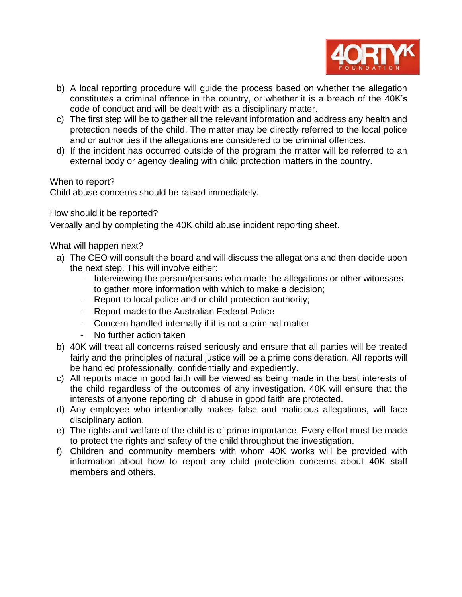

- b) A local reporting procedure will guide the process based on whether the allegation constitutes a criminal offence in the country, or whether it is a breach of the 40K's code of conduct and will be dealt with as a disciplinary matter.
- c) The first step will be to gather all the relevant information and address any health and protection needs of the child. The matter may be directly referred to the local police and or authorities if the allegations are considered to be criminal offences.
- d) If the incident has occurred outside of the program the matter will be referred to an external body or agency dealing with child protection matters in the country.

When to report?

Child abuse concerns should be raised immediately.

How should it be reported?

Verbally and by completing the 40K child abuse incident reporting sheet.

What will happen next?

- a) The CEO will consult the board and will discuss the allegations and then decide upon the next step. This will involve either:
	- Interviewing the person/persons who made the allegations or other witnesses to gather more information with which to make a decision;
	- Report to local police and or child protection authority;
	- Report made to the Australian Federal Police
	- Concern handled internally if it is not a criminal matter
	- No further action taken
- b) 40K will treat all concerns raised seriously and ensure that all parties will be treated fairly and the principles of natural justice will be a prime consideration. All reports will be handled professionally, confidentially and expediently.
- c) All reports made in good faith will be viewed as being made in the best interests of the child regardless of the outcomes of any investigation. 40K will ensure that the interests of anyone reporting child abuse in good faith are protected.
- d) Any employee who intentionally makes false and malicious allegations, will face disciplinary action.
- e) The rights and welfare of the child is of prime importance. Every effort must be made to protect the rights and safety of the child throughout the investigation.
- f) Children and community members with whom 40K works will be provided with information about how to report any child protection concerns about 40K staff members and others.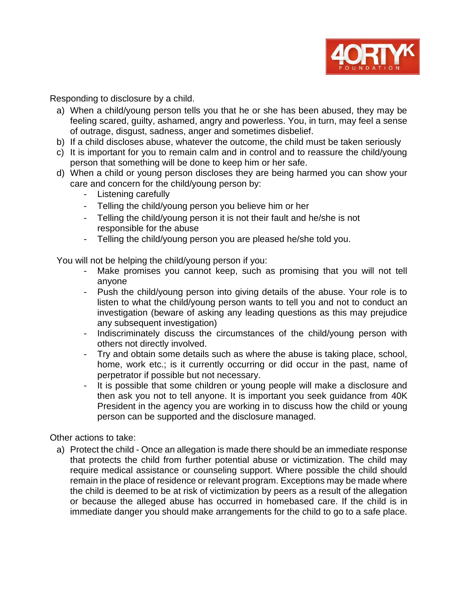

Responding to disclosure by a child.

- a) When a child/young person tells you that he or she has been abused, they may be feeling scared, guilty, ashamed, angry and powerless. You, in turn, may feel a sense of outrage, disgust, sadness, anger and sometimes disbelief.
- b) If a child discloses abuse, whatever the outcome, the child must be taken seriously
- c) It is important for you to remain calm and in control and to reassure the child/young person that something will be done to keep him or her safe.
- d) When a child or young person discloses they are being harmed you can show your care and concern for the child/young person by:
	- Listening carefully
	- Telling the child/young person you believe him or her
	- Telling the child/young person it is not their fault and he/she is not responsible for the abuse
	- Telling the child/young person you are pleased he/she told you.

You will not be helping the child/young person if you:

- Make promises you cannot keep, such as promising that you will not tell anyone
- Push the child/young person into giving details of the abuse. Your role is to listen to what the child/young person wants to tell you and not to conduct an investigation (beware of asking any leading questions as this may prejudice any subsequent investigation)
- Indiscriminately discuss the circumstances of the child/young person with others not directly involved.
- Try and obtain some details such as where the abuse is taking place, school, home, work etc.; is it currently occurring or did occur in the past, name of perpetrator if possible but not necessary.
- It is possible that some children or young people will make a disclosure and then ask you not to tell anyone. It is important you seek guidance from 40K President in the agency you are working in to discuss how the child or young person can be supported and the disclosure managed.

Other actions to take:

a) Protect the child - Once an allegation is made there should be an immediate response that protects the child from further potential abuse or victimization. The child may require medical assistance or counseling support. Where possible the child should remain in the place of residence or relevant program. Exceptions may be made where the child is deemed to be at risk of victimization by peers as a result of the allegation or because the alleged abuse has occurred in homebased care. If the child is in immediate danger you should make arrangements for the child to go to a safe place.